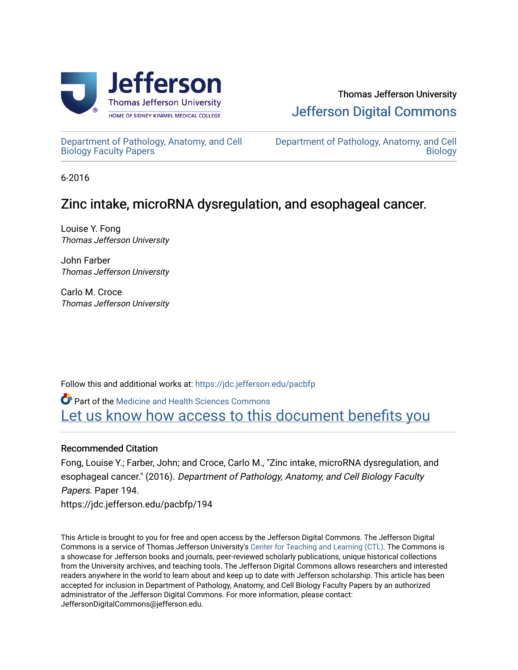

[Department of Pathology, Anatomy, and Cell](https://jdc.jefferson.edu/pacbfp) [Biology Faculty Papers](https://jdc.jefferson.edu/pacbfp) 

[Department of Pathology, Anatomy, and Cell](https://jdc.jefferson.edu/pacb)  **Biology** 

6-2016

# Zinc intake, microRNA dysregulation, and esophageal cancer.

Louise Y. Fong Thomas Jefferson University

John Farber Thomas Jefferson University

Carlo M. Croce Thomas Jefferson University

Follow this and additional works at: [https://jdc.jefferson.edu/pacbfp](https://jdc.jefferson.edu/pacbfp?utm_source=jdc.jefferson.edu%2Fpacbfp%2F194&utm_medium=PDF&utm_campaign=PDFCoverPages) 

Part of the [Medicine and Health Sciences Commons](http://network.bepress.com/hgg/discipline/648?utm_source=jdc.jefferson.edu%2Fpacbfp%2F194&utm_medium=PDF&utm_campaign=PDFCoverPages)  Let us know how access to this document benefits you

## Recommended Citation

Fong, Louise Y.; Farber, John; and Croce, Carlo M., "Zinc intake, microRNA dysregulation, and esophageal cancer." (2016). Department of Pathology, Anatomy, and Cell Biology Faculty Papers. Paper 194. https://jdc.jefferson.edu/pacbfp/194

This Article is brought to you for free and open access by the Jefferson Digital Commons. The Jefferson Digital Commons is a service of Thomas Jefferson University's [Center for Teaching and Learning \(CTL\)](http://www.jefferson.edu/university/teaching-learning.html/). The Commons is a showcase for Jefferson books and journals, peer-reviewed scholarly publications, unique historical collections from the University archives, and teaching tools. The Jefferson Digital Commons allows researchers and interested readers anywhere in the world to learn about and keep up to date with Jefferson scholarship. This article has been accepted for inclusion in Department of Pathology, Anatomy, and Cell Biology Faculty Papers by an authorized administrator of the Jefferson Digital Commons. For more information, please contact: JeffersonDigitalCommons@jefferson.edu.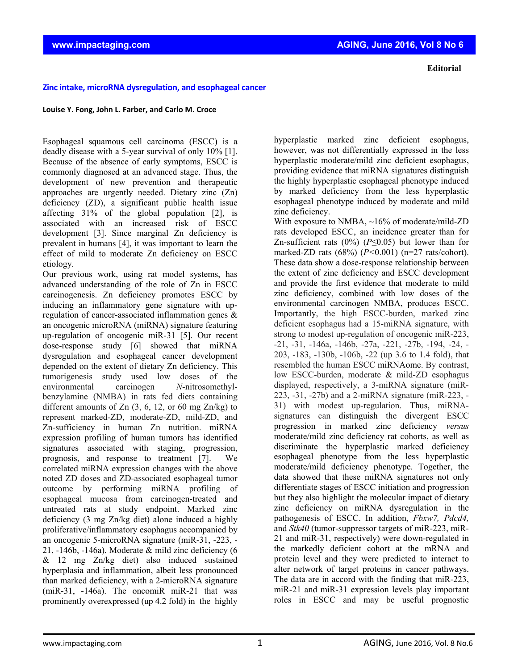#### **Zinc intake, microRNA dysregulation, and esophageal cancer**

#### **Louise Y. Fong, John L. Farber, and Carlo M. Croce**

Esophageal squamous cell carcinoma (ESCC) is a deadly disease with a 5-year survival of only 10% [1]. Because of the absence of early symptoms, ESCC is commonly diagnosed at an advanced stage. Thus, the development of new prevention and therapeutic approaches are urgently needed. Dietary zinc (Zn) deficiency (ZD), a significant public health issue affecting 31% of the global population [2], is associated with an increased risk of ESCC development [3]. Since marginal Zn deficiency is prevalent in humans [4], it was important to learn the effect of mild to moderate Zn deficiency on ESCC etiology.

Our previous work, using rat model systems, has advanced understanding of the role of Zn in ESCC carcinogenesis. Zn deficiency promotes ESCC by inducing an inflammatory gene signature with upregulation of cancer-associated inflammation genes & an oncogenic microRNA (miRNA) signature featuring up-regulation of oncogenic miR-31 [5]. Our recent dose-response study [6] showed that miRNA dysregulation and esophageal cancer development depended on the extent of dietary Zn deficiency. This tumorigenesis study used low doses of the environmental carcinogen *N*-nitrosomethylbenzylamine (NMBA) in rats fed diets containing different amounts of Zn  $(3, 6, 12, or 60$  mg Zn/kg) to represent marked-ZD, moderate-ZD, mild-ZD, and Zn-sufficiency in human Zn nutrition. miRNA expression profiling of human tumors has identified signatures associated with staging, progression, prognosis, and response to treatment [7]. We correlated miRNA expression changes with the above noted ZD doses and ZD-associated esophageal tumor outcome by performing miRNA profiling of esophageal mucosa from carcinogen-treated and untreated rats at study endpoint. Marked zinc deficiency (3 mg Zn/kg diet) alone induced a highly proliferative/inflammatory esophagus accompanied by an oncogenic 5-microRNA signature (miR-31, -223, - 21,  $-146b$ ,  $-146a$ ). Moderate & mild zinc deficiency (6  $&$  12 mg Zn/kg diet) also induced sustained hyperplasia and inflammation, albeit less pronounced than marked deficiency, with a 2-microRNA signature (miR-31, -146a). The oncomiR miR-21 that was prominently overexpressed (up 4.2 fold) in the highly

hyperplastic marked zinc deficient esophagus, however, was not differentially expressed in the less hyperplastic moderate/mild zinc deficient esophagus, providing evidence that miRNA signatures distinguish the highly hyperplastic esophageal phenotype induced by marked deficiency from the less hyperplastic esophageal phenotype induced by moderate and mild zinc deficiency.

With exposure to NMBA, ~16% of moderate/mild-ZD rats developed ESCC, an incidence greater than for Zn-sufficient rats (0%) (*P*≤0.05) but lower than for marked-ZD rats (68%) (*P<*0.001) (n=27 rats/cohort). These data show a dose-response relationship between the extent of zinc deficiency and ESCC development and provide the first evidence that moderate to mild zinc deficiency, combined with low doses of the environmental carcinogen NMBA, produces ESCC. Importantly, the high ESCC-burden, marked zinc deficient esophagus had a 15-miRNA signature, with strong to modest up-regulation of oncogenic miR-223, -21, -31, -146a, -146b, -27a, -221, -27b, -194, -24, - 203, -183, -130b, -106b, -22 (up 3.6 to 1.4 fold), that resembled the human ESCC miRNAome. By contrast, low ESCC-burden, moderate & mild-ZD esophagus displayed, respectively, a 3-miRNA signature (miR-223, -31, -27b) and a 2-miRNA signature (miR-223, - 31) with modest up-regulation. Thus, miRNAsignatures can distinguish the divergent ESCC progression in marked zinc deficiency *versus* moderate/mild zinc deficiency rat cohorts, as well as discriminate the hyperplastic marked deficiency esophageal phenotype from the less hyperplastic moderate/mild deficiency phenotype. Together, the data showed that these miRNA signatures not only differentiate stages of ESCC initiation and progression but they also highlight the molecular impact of dietary zinc deficiency on miRNA dysregulation in the pathogenesis of ESCC. In addition, *Fbxw7, Pdcd4,* and *Stk40* (tumor-suppressor targets of miR-223, miR-21 and miR-31, respectively) were down-regulated in the markedly deficient cohort at the mRNA and protein level and they were predicted to interact to alter network of target proteins in cancer pathways. The data are in accord with the finding that miR-223, miR-21 and miR-31 expression levels play important roles in ESCC and may be useful prognostic